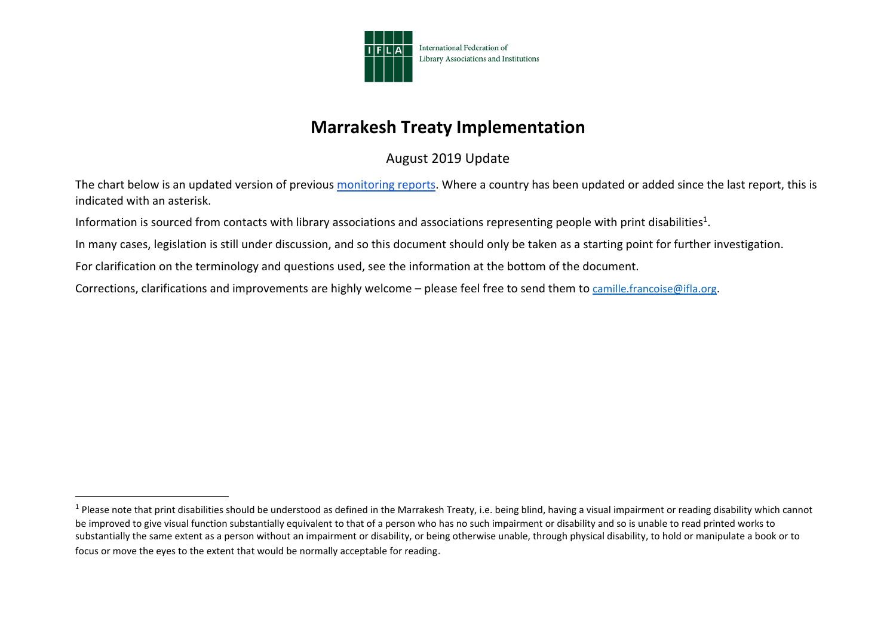

## **Marrakesh Treaty Implementation**

August 2019 Update

The chart below is an updated version of previous [monitoring reports.](https://www.ifla.org/publications/node/81925) Where a country has been updated or added since the last report, this is indicated with an asterisk.

Information is sourced from contacts with library associations and associations representing people with print disabilities<sup>1</sup>.

In many cases, legislation is still under discussion, and so this document should only be taken as a starting point for further investigation.

For clarification on the terminology and questions used, see the information at the [bottom of the document.](about:blank)

Corrections, clarifications and improvements are highly welcome – please feel free to send them to [camille.francoise@ifla.org.](mailto:camille.francoise@ifla.org)

 $^1$  Please note that print disabilities should be understood as defined in the Marrakesh Treaty, i.e. being blind, having a visual impairment or reading disability which cannot be improved to give visual function substantially equivalent to that of a person who has no such impairment or disability and so is unable to read printed works to substantially the same extent as a person without an impairment or disability, or being otherwise unable, through physical disability, to hold or manipulate a book or to focus or move the eyes to the extent that would be normally acceptable for reading.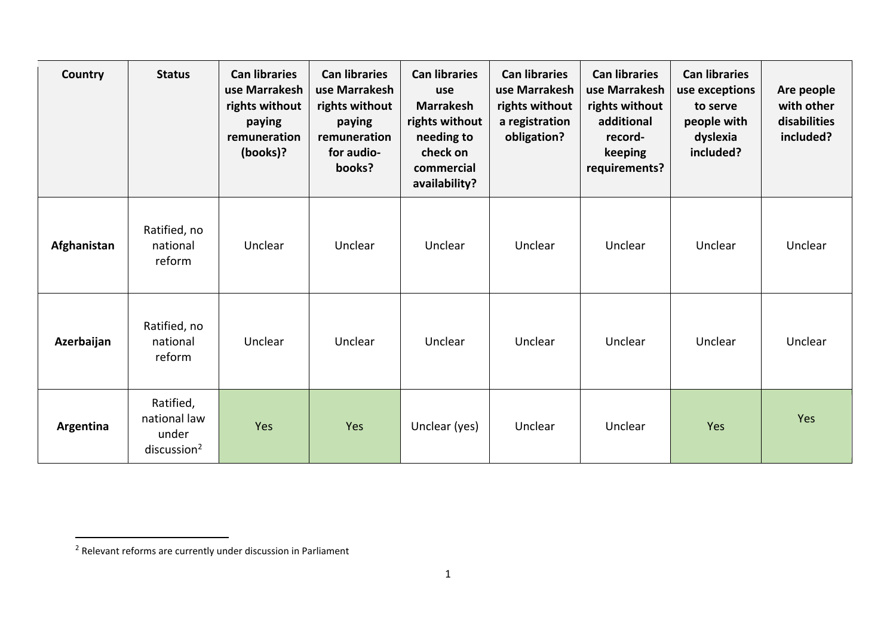| <b>Country</b> | <b>Status</b>                                                 | <b>Can libraries</b><br>use Marrakesh<br>rights without<br>paying<br>remuneration<br>(books)? | <b>Can libraries</b><br>use Marrakesh<br>rights without<br>paying<br>remuneration<br>for audio-<br>books? | <b>Can libraries</b><br>use<br><b>Marrakesh</b><br>rights without<br>needing to<br>check on<br>commercial<br>availability? | <b>Can libraries</b><br>use Marrakesh<br>rights without<br>a registration<br>obligation? | <b>Can libraries</b><br>use Marrakesh<br>rights without<br>additional<br>record-<br>keeping<br>requirements? | <b>Can libraries</b><br>use exceptions<br>to serve<br>people with<br>dyslexia<br>included? | Are people<br>with other<br>disabilities<br>included? |
|----------------|---------------------------------------------------------------|-----------------------------------------------------------------------------------------------|-----------------------------------------------------------------------------------------------------------|----------------------------------------------------------------------------------------------------------------------------|------------------------------------------------------------------------------------------|--------------------------------------------------------------------------------------------------------------|--------------------------------------------------------------------------------------------|-------------------------------------------------------|
| Afghanistan    | Ratified, no<br>national<br>reform                            | Unclear                                                                                       | Unclear                                                                                                   | Unclear                                                                                                                    | Unclear                                                                                  | Unclear                                                                                                      | Unclear                                                                                    | Unclear                                               |
| Azerbaijan     | Ratified, no<br>national<br>reform                            | Unclear                                                                                       | Unclear                                                                                                   | Unclear                                                                                                                    | Unclear                                                                                  | Unclear                                                                                                      | Unclear                                                                                    | Unclear                                               |
| Argentina      | Ratified,<br>national law<br>under<br>disclusion <sup>2</sup> | Yes                                                                                           | Yes                                                                                                       | Unclear (yes)                                                                                                              | Unclear                                                                                  | Unclear                                                                                                      | Yes                                                                                        | Yes                                                   |

 $2$  Relevant reforms are currently under discussion in Parliament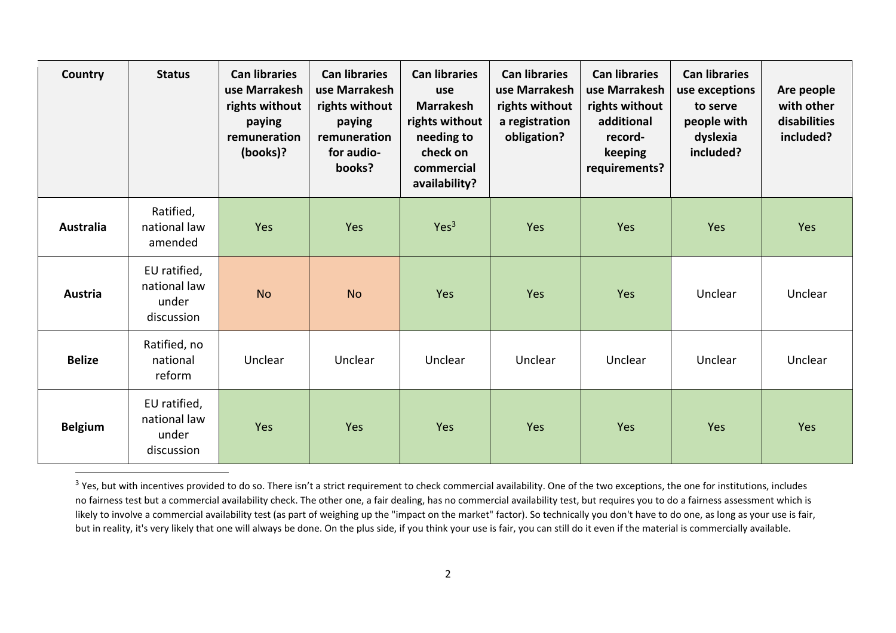| Country          | <b>Status</b>                                       | <b>Can libraries</b><br>use Marrakesh<br>rights without<br>paying<br>remuneration<br>(books)? | <b>Can libraries</b><br>use Marrakesh<br>rights without<br>paying<br>remuneration<br>for audio-<br>books? | <b>Can libraries</b><br>use<br><b>Marrakesh</b><br>rights without<br>needing to<br>check on<br>commercial<br>availability? | <b>Can libraries</b><br>use Marrakesh<br>rights without<br>a registration<br>obligation? | <b>Can libraries</b><br>use Marrakesh<br>rights without<br>additional<br>record-<br>keeping<br>requirements? | <b>Can libraries</b><br>use exceptions<br>to serve<br>people with<br>dyslexia<br>included? | Are people<br>with other<br>disabilities<br>included? |
|------------------|-----------------------------------------------------|-----------------------------------------------------------------------------------------------|-----------------------------------------------------------------------------------------------------------|----------------------------------------------------------------------------------------------------------------------------|------------------------------------------------------------------------------------------|--------------------------------------------------------------------------------------------------------------|--------------------------------------------------------------------------------------------|-------------------------------------------------------|
| <b>Australia</b> | Ratified,<br>national law<br>amended                | Yes                                                                                           | Yes                                                                                                       | Yes <sup>3</sup>                                                                                                           | Yes                                                                                      | Yes                                                                                                          | Yes                                                                                        | Yes                                                   |
| Austria          | EU ratified,<br>national law<br>under<br>discussion | <b>No</b>                                                                                     | <b>No</b>                                                                                                 | Yes                                                                                                                        | Yes                                                                                      | Yes                                                                                                          | Unclear                                                                                    | Unclear                                               |
| <b>Belize</b>    | Ratified, no<br>national<br>reform                  | Unclear                                                                                       | Unclear                                                                                                   | Unclear                                                                                                                    | Unclear                                                                                  | Unclear                                                                                                      | Unclear                                                                                    | Unclear                                               |
| <b>Belgium</b>   | EU ratified,<br>national law<br>under<br>discussion | Yes                                                                                           | Yes                                                                                                       | Yes                                                                                                                        | Yes                                                                                      | Yes                                                                                                          | Yes                                                                                        | Yes                                                   |

 $^3$  Yes, but with incentives provided to do so. There isn't a strict requirement to check commercial availability. One of the two exceptions, the one for institutions, includes no fairness test but a commercial availability check. The other one, a fair dealing, has no commercial availability test, but requires you to do a fairness assessment which is likely to involve a commercial availability test (as part of weighing up the "impact on the market" factor). So technically you don't have to do one, as long as your use is fair, but in reality, it's very likely that one will always be done. On the plus side, if you think your use is fair, you can still do it even if the material is commercially available.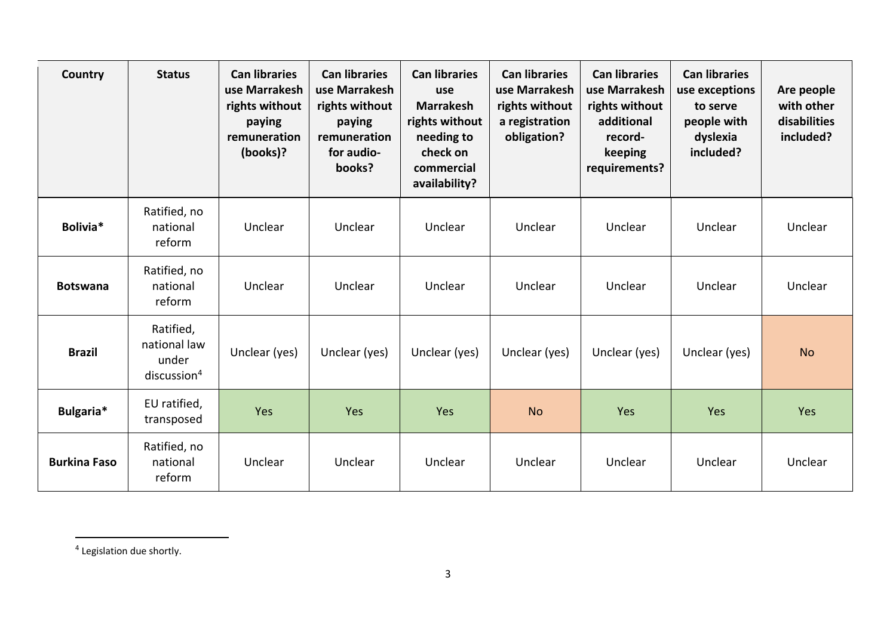| Country             | <b>Status</b>                                                 | <b>Can libraries</b><br>use Marrakesh<br>rights without<br>paying<br>remuneration<br>(books)? | <b>Can libraries</b><br>use Marrakesh<br>rights without<br>paying<br>remuneration<br>for audio-<br>books? | <b>Can libraries</b><br>use<br><b>Marrakesh</b><br>rights without<br>needing to<br>check on<br>commercial<br>availability? | <b>Can libraries</b><br>use Marrakesh<br>rights without<br>a registration<br>obligation? | <b>Can libraries</b><br>use Marrakesh<br>rights without<br>additional<br>record-<br>keeping<br>requirements? | <b>Can libraries</b><br>use exceptions<br>to serve<br>people with<br>dyslexia<br>included? | Are people<br>with other<br>disabilities<br>included? |
|---------------------|---------------------------------------------------------------|-----------------------------------------------------------------------------------------------|-----------------------------------------------------------------------------------------------------------|----------------------------------------------------------------------------------------------------------------------------|------------------------------------------------------------------------------------------|--------------------------------------------------------------------------------------------------------------|--------------------------------------------------------------------------------------------|-------------------------------------------------------|
| Bolivia*            | Ratified, no<br>national<br>reform                            | Unclear                                                                                       | Unclear                                                                                                   | Unclear                                                                                                                    | Unclear                                                                                  | Unclear                                                                                                      | Unclear                                                                                    | Unclear                                               |
| <b>Botswana</b>     | Ratified, no<br>national<br>reform                            | Unclear                                                                                       | Unclear                                                                                                   | Unclear                                                                                                                    | Unclear                                                                                  | Unclear                                                                                                      | Unclear                                                                                    | Unclear                                               |
| <b>Brazil</b>       | Ratified,<br>national law<br>under<br>disclusion <sup>4</sup> | Unclear (yes)                                                                                 | Unclear (yes)                                                                                             | Unclear (yes)                                                                                                              | Unclear (yes)                                                                            | Unclear (yes)                                                                                                | Unclear (yes)                                                                              | <b>No</b>                                             |
| Bulgaria*           | EU ratified,<br>transposed                                    | Yes                                                                                           | Yes                                                                                                       | Yes                                                                                                                        | <b>No</b>                                                                                | Yes                                                                                                          | Yes                                                                                        | Yes                                                   |
| <b>Burkina Faso</b> | Ratified, no<br>national<br>reform                            | Unclear                                                                                       | Unclear                                                                                                   | Unclear                                                                                                                    | Unclear                                                                                  | Unclear                                                                                                      | Unclear                                                                                    | Unclear                                               |

<sup>4</sup> Legislation due shortly.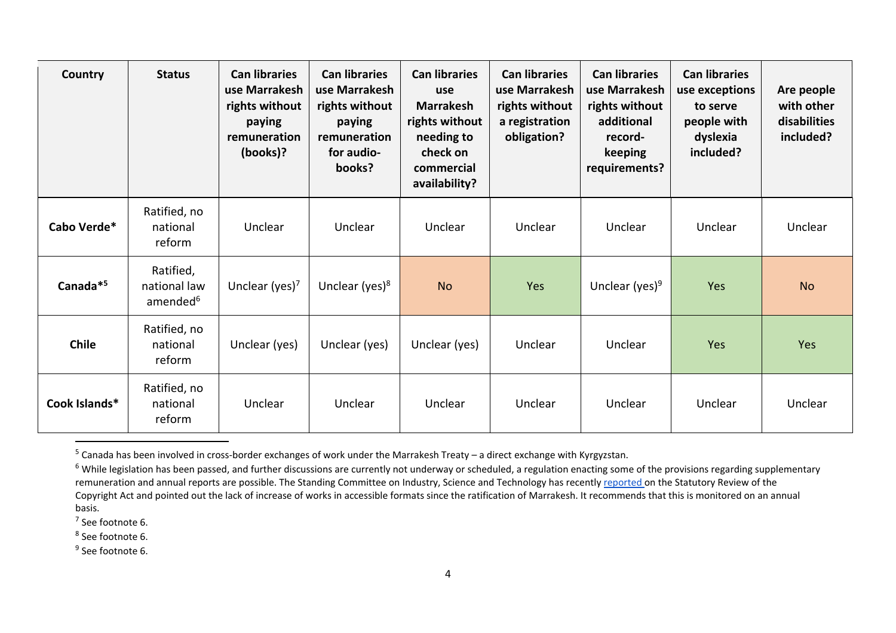| Country              | <b>Status</b>                                     | <b>Can libraries</b><br>use Marrakesh<br>rights without<br>paying<br>remuneration<br>(books)? | <b>Can libraries</b><br>use Marrakesh<br>rights without<br>paying<br>remuneration<br>for audio-<br>books? | <b>Can libraries</b><br>use<br><b>Marrakesh</b><br>rights without<br>needing to<br>check on<br>commercial<br>availability? | <b>Can libraries</b><br>use Marrakesh<br>rights without<br>a registration<br>obligation? | <b>Can libraries</b><br>use Marrakesh<br>rights without<br>additional<br>record-<br>keeping<br>requirements? | <b>Can libraries</b><br>use exceptions<br>to serve<br>people with<br>dyslexia<br>included? | Are people<br>with other<br>disabilities<br>included? |
|----------------------|---------------------------------------------------|-----------------------------------------------------------------------------------------------|-----------------------------------------------------------------------------------------------------------|----------------------------------------------------------------------------------------------------------------------------|------------------------------------------------------------------------------------------|--------------------------------------------------------------------------------------------------------------|--------------------------------------------------------------------------------------------|-------------------------------------------------------|
| Cabo Verde*          | Ratified, no<br>national<br>reform                | Unclear                                                                                       | Unclear                                                                                                   | Unclear                                                                                                                    | Unclear                                                                                  | Unclear                                                                                                      | Unclear                                                                                    | Unclear                                               |
| Canada <sup>*5</sup> | Ratified,<br>national law<br>amended <sup>6</sup> | Unclear (yes) $7$                                                                             | Unclear (yes) $8$                                                                                         | <b>No</b>                                                                                                                  | Yes                                                                                      | Unclear (yes) <sup>9</sup>                                                                                   | Yes                                                                                        | <b>No</b>                                             |
| <b>Chile</b>         | Ratified, no<br>national<br>reform                | Unclear (yes)                                                                                 | Unclear (yes)                                                                                             | Unclear (yes)                                                                                                              | Unclear                                                                                  | Unclear                                                                                                      | Yes                                                                                        | Yes                                                   |
| Cook Islands*        | Ratified, no<br>national<br>reform                | Unclear                                                                                       | Unclear                                                                                                   | Unclear                                                                                                                    | Unclear                                                                                  | Unclear                                                                                                      | Unclear                                                                                    | Unclear                                               |

<sup>&</sup>lt;sup>5</sup> Canada has been involved in cross-border exchanges of work under the Marrakesh Treaty – a direct exchange with Kyrgyzstan.

 $7$  See footnote 6.

8 See footnote 6.

<sup>9</sup> See footnote 6.

<sup>&</sup>lt;sup>6</sup> While legislation has been passed, and further discussions are currently not underway or scheduled, a regulation enacting some of the provisions regarding supplementary remuneration and annual reports are possible. The Standing Committee on Industry, Science and Technology has recently [reported o](https://www.ourcommons.ca/Content/Committee/421/INDU/Reports/RP10537003/indurp16/indurp16-e.pdf)n the Statutory Review of the Copyright Act and pointed out the lack of increase of works in accessible formats since the ratification of Marrakesh. It recommends that this is monitored on an annual basis.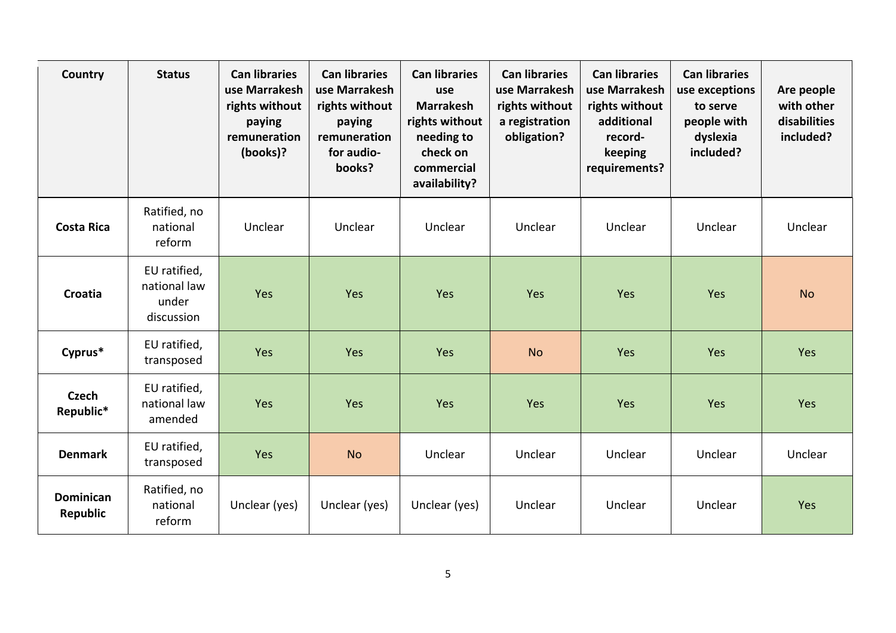| Country                      | <b>Status</b>                                       | <b>Can libraries</b><br>use Marrakesh<br>rights without<br>paying<br>remuneration<br>(books)? | <b>Can libraries</b><br>use Marrakesh<br>rights without<br>paying<br>remuneration<br>for audio-<br>books? | <b>Can libraries</b><br>use<br><b>Marrakesh</b><br>rights without<br>needing to<br>check on<br>commercial<br>availability? | <b>Can libraries</b><br>use Marrakesh<br>rights without<br>a registration<br>obligation? | <b>Can libraries</b><br>use Marrakesh<br>rights without<br>additional<br>record-<br>keeping<br>requirements? | <b>Can libraries</b><br>use exceptions<br>to serve<br>people with<br>dyslexia<br>included? | Are people<br>with other<br>disabilities<br>included? |
|------------------------------|-----------------------------------------------------|-----------------------------------------------------------------------------------------------|-----------------------------------------------------------------------------------------------------------|----------------------------------------------------------------------------------------------------------------------------|------------------------------------------------------------------------------------------|--------------------------------------------------------------------------------------------------------------|--------------------------------------------------------------------------------------------|-------------------------------------------------------|
| <b>Costa Rica</b>            | Ratified, no<br>national<br>reform                  | Unclear                                                                                       | Unclear                                                                                                   | Unclear                                                                                                                    | Unclear                                                                                  | Unclear                                                                                                      | Unclear                                                                                    | Unclear                                               |
| <b>Croatia</b>               | EU ratified,<br>national law<br>under<br>discussion | Yes                                                                                           | Yes                                                                                                       | Yes                                                                                                                        | Yes                                                                                      | Yes                                                                                                          | Yes                                                                                        | <b>No</b>                                             |
| Cyprus*                      | EU ratified,<br>transposed                          | Yes                                                                                           | Yes                                                                                                       | Yes                                                                                                                        | <b>No</b>                                                                                | Yes                                                                                                          | Yes                                                                                        | Yes                                                   |
| <b>Czech</b><br>Republic*    | EU ratified,<br>national law<br>amended             | Yes                                                                                           | Yes                                                                                                       | Yes                                                                                                                        | Yes                                                                                      | Yes                                                                                                          | Yes                                                                                        | Yes                                                   |
| <b>Denmark</b>               | EU ratified,<br>transposed                          | Yes                                                                                           | <b>No</b>                                                                                                 | Unclear                                                                                                                    | Unclear                                                                                  | Unclear                                                                                                      | Unclear                                                                                    | Unclear                                               |
| <b>Dominican</b><br>Republic | Ratified, no<br>national<br>reform                  | Unclear (yes)                                                                                 | Unclear (yes)                                                                                             | Unclear (yes)                                                                                                              | Unclear                                                                                  | Unclear                                                                                                      | Unclear                                                                                    | Yes                                                   |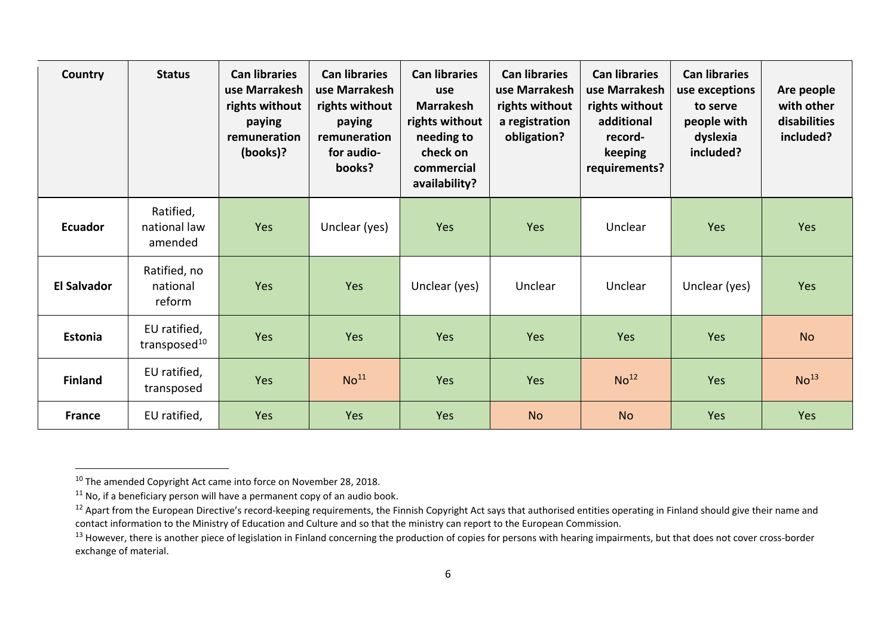| <b>Country</b>     | <b>Status</b>                            | <b>Can libraries</b><br>use Marrakesh<br>rights without<br>paying<br>remuneration<br>(books)? | <b>Can libraries</b><br>use Marrakesh<br>rights without<br>paying<br>remuneration<br>for audio-<br>books? | <b>Can libraries</b><br>use<br><b>Marrakesh</b><br>rights without<br>needing to<br>check on<br>commercial<br>availability? | <b>Can libraries</b><br>use Marrakesh<br>rights without<br>a registration<br>obligation? | <b>Can libraries</b><br>use Marrakesh<br>rights without<br>additional<br>record-<br>keeping<br>requirements? | <b>Can libraries</b><br>use exceptions<br>to serve<br>people with<br>dyslexia<br>included? | Are people<br>with other<br>disabilities<br>included? |
|--------------------|------------------------------------------|-----------------------------------------------------------------------------------------------|-----------------------------------------------------------------------------------------------------------|----------------------------------------------------------------------------------------------------------------------------|------------------------------------------------------------------------------------------|--------------------------------------------------------------------------------------------------------------|--------------------------------------------------------------------------------------------|-------------------------------------------------------|
| <b>Ecuador</b>     | Ratified,<br>national law<br>amended     | Yes                                                                                           | Unclear (yes)                                                                                             | Yes                                                                                                                        | Yes                                                                                      | Unclear                                                                                                      | Yes                                                                                        | Yes                                                   |
| <b>El Salvador</b> | Ratified, no<br>national<br>reform       | Yes                                                                                           | Yes                                                                                                       | Unclear (yes)                                                                                                              | Unclear                                                                                  | Unclear                                                                                                      | Unclear (yes)                                                                              | Yes                                                   |
| Estonia            | EU ratified,<br>transposed <sup>10</sup> | Yes                                                                                           | Yes                                                                                                       | Yes                                                                                                                        | Yes                                                                                      | Yes                                                                                                          | <b>Yes</b>                                                                                 | <b>No</b>                                             |
| <b>Finland</b>     | EU ratified,<br>transposed               | Yes                                                                                           | No <sup>11</sup>                                                                                          | Yes                                                                                                                        | Yes                                                                                      | No <sup>12</sup>                                                                                             | Yes                                                                                        | No <sup>13</sup>                                      |
| <b>France</b>      | EU ratified,                             | Yes                                                                                           | Yes                                                                                                       | Yes                                                                                                                        | <b>No</b>                                                                                | <b>No</b>                                                                                                    | Yes                                                                                        | Yes                                                   |

<sup>&</sup>lt;sup>10</sup> The amended Copyright Act came into force on November 28, 2018.

 $11$  No, if a beneficiary person will have a permanent copy of an audio book.

<sup>&</sup>lt;sup>12</sup> Apart from the European Directive's record-keeping requirements, the Finnish Copyright Act says that authorised entities operating in Finland should give their name and contact information to the Ministry of Education and Culture and so that the ministry can report to the European Commission.

<sup>&</sup>lt;sup>13</sup> However, there is another piece of legislation in Finland concerning the production of copies for persons with hearing impairments, but that does not cover cross-border exchange of material.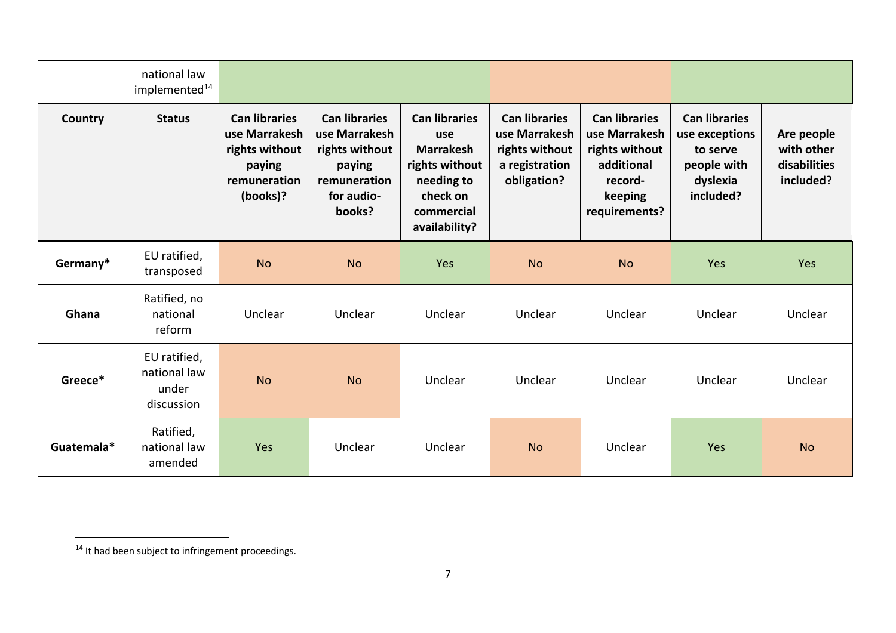|            | national law<br>implemented <sup>14</sup>           |                                                                                               |                                                                                                           |                                                                                                                            |                                                                                          |                                                                                                              |                                                                                            |                                                       |
|------------|-----------------------------------------------------|-----------------------------------------------------------------------------------------------|-----------------------------------------------------------------------------------------------------------|----------------------------------------------------------------------------------------------------------------------------|------------------------------------------------------------------------------------------|--------------------------------------------------------------------------------------------------------------|--------------------------------------------------------------------------------------------|-------------------------------------------------------|
| Country    | <b>Status</b>                                       | <b>Can libraries</b><br>use Marrakesh<br>rights without<br>paying<br>remuneration<br>(books)? | <b>Can libraries</b><br>use Marrakesh<br>rights without<br>paying<br>remuneration<br>for audio-<br>books? | <b>Can libraries</b><br>use<br><b>Marrakesh</b><br>rights without<br>needing to<br>check on<br>commercial<br>availability? | <b>Can libraries</b><br>use Marrakesh<br>rights without<br>a registration<br>obligation? | <b>Can libraries</b><br>use Marrakesh<br>rights without<br>additional<br>record-<br>keeping<br>requirements? | <b>Can libraries</b><br>use exceptions<br>to serve<br>people with<br>dyslexia<br>included? | Are people<br>with other<br>disabilities<br>included? |
| Germany*   | EU ratified,<br>transposed                          | <b>No</b>                                                                                     | <b>No</b>                                                                                                 | Yes                                                                                                                        | <b>No</b>                                                                                | <b>No</b>                                                                                                    | Yes                                                                                        | Yes                                                   |
| Ghana      | Ratified, no<br>national<br>reform                  | Unclear                                                                                       | Unclear                                                                                                   | Unclear                                                                                                                    | Unclear                                                                                  | Unclear                                                                                                      | Unclear                                                                                    | Unclear                                               |
| Greece*    | EU ratified,<br>national law<br>under<br>discussion | <b>No</b>                                                                                     | <b>No</b>                                                                                                 | Unclear                                                                                                                    | Unclear                                                                                  | Unclear                                                                                                      | Unclear                                                                                    | Unclear                                               |
| Guatemala* | Ratified,<br>national law<br>amended                | Yes                                                                                           | Unclear                                                                                                   | Unclear                                                                                                                    | <b>No</b>                                                                                | Unclear                                                                                                      | Yes                                                                                        | <b>No</b>                                             |

<sup>14</sup> It had been subject to infringement proceedings.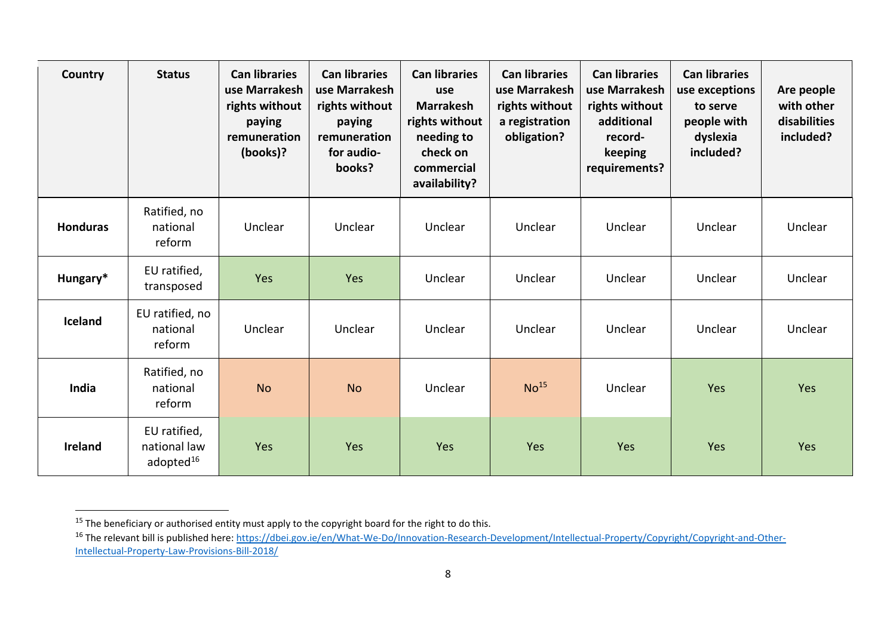| Country         | <b>Status</b>                                         | <b>Can libraries</b><br>use Marrakesh<br>rights without<br>paying<br>remuneration<br>(books)? | <b>Can libraries</b><br>use Marrakesh<br>rights without<br>paying<br>remuneration<br>for audio-<br>books? | <b>Can libraries</b><br>use<br><b>Marrakesh</b><br>rights without<br>needing to<br>check on<br>commercial<br>availability? | <b>Can libraries</b><br>use Marrakesh<br>rights without<br>a registration<br>obligation? | <b>Can libraries</b><br>use Marrakesh<br>rights without<br>additional<br>record-<br>keeping<br>requirements? | <b>Can libraries</b><br>use exceptions<br>to serve<br>people with<br>dyslexia<br>included? | Are people<br>with other<br>disabilities<br>included? |
|-----------------|-------------------------------------------------------|-----------------------------------------------------------------------------------------------|-----------------------------------------------------------------------------------------------------------|----------------------------------------------------------------------------------------------------------------------------|------------------------------------------------------------------------------------------|--------------------------------------------------------------------------------------------------------------|--------------------------------------------------------------------------------------------|-------------------------------------------------------|
| <b>Honduras</b> | Ratified, no<br>national<br>reform                    | Unclear                                                                                       | Unclear                                                                                                   | Unclear                                                                                                                    | Unclear                                                                                  | Unclear                                                                                                      | Unclear                                                                                    | Unclear                                               |
| Hungary*        | EU ratified,<br>transposed                            | Yes                                                                                           | Yes                                                                                                       | Unclear                                                                                                                    | Unclear                                                                                  | Unclear                                                                                                      | Unclear                                                                                    | Unclear                                               |
| Iceland         | EU ratified, no<br>national<br>reform                 | Unclear                                                                                       | Unclear                                                                                                   | Unclear                                                                                                                    | Unclear                                                                                  | Unclear                                                                                                      | Unclear                                                                                    | Unclear                                               |
| India           | Ratified, no<br>national<br>reform                    | <b>No</b>                                                                                     | <b>No</b>                                                                                                 | Unclear                                                                                                                    | No <sup>15</sup>                                                                         | Unclear                                                                                                      | Yes                                                                                        | Yes                                                   |
| <b>Ireland</b>  | EU ratified,<br>national law<br>adopted <sup>16</sup> | Yes                                                                                           | Yes                                                                                                       | Yes                                                                                                                        | Yes                                                                                      | Yes                                                                                                          | Yes                                                                                        | Yes                                                   |

<sup>&</sup>lt;sup>15</sup> The beneficiary or authorised entity must apply to the copyright board for the right to do this.

<sup>&</sup>lt;sup>16</sup> The relevant bill is published here: [https://dbei.gov.ie/en/What-We-Do/Innovation-Research-Development/Intellectual-Property/Copyright/Copyright-and-Other-](https://dbei.gov.ie/en/What-We-Do/Innovation-Research-Development/Intellectual-Property/Copyright/Copyright-and-Other-Intellectual-Property-Law-Provisions-Bill-2018/)[Intellectual-Property-Law-Provisions-Bill-2018/](https://dbei.gov.ie/en/What-We-Do/Innovation-Research-Development/Intellectual-Property/Copyright/Copyright-and-Other-Intellectual-Property-Law-Provisions-Bill-2018/)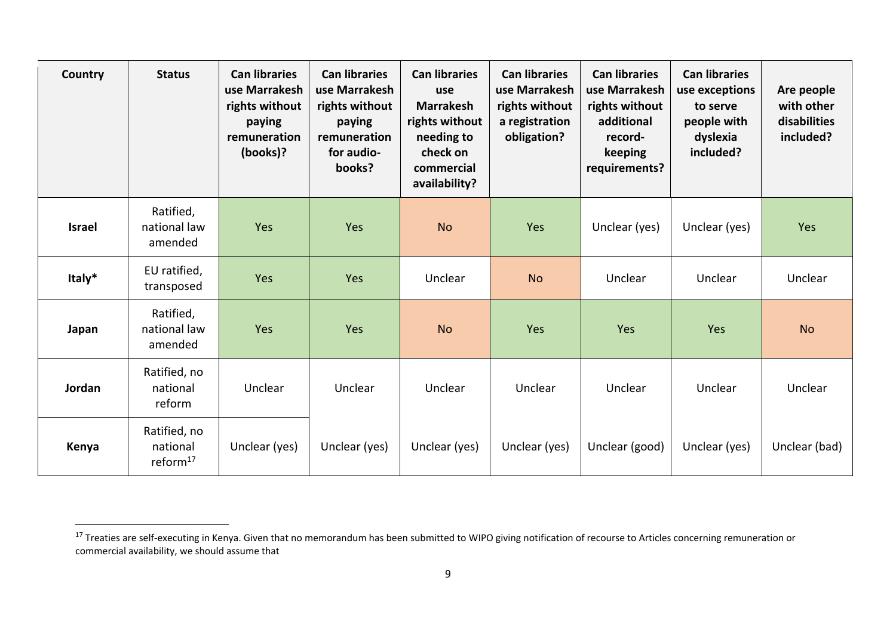| Country       | <b>Status</b>                           | <b>Can libraries</b><br>use Marrakesh<br>rights without<br>paying<br>remuneration<br>(books)? | <b>Can libraries</b><br>use Marrakesh<br>rights without<br>paying<br>remuneration<br>for audio-<br>books? | <b>Can libraries</b><br>use<br><b>Marrakesh</b><br>rights without<br>needing to<br>check on<br>commercial<br>availability? | <b>Can libraries</b><br>use Marrakesh<br>rights without<br>a registration<br>obligation? | <b>Can libraries</b><br>use Marrakesh<br>rights without<br>additional<br>record-<br>keeping<br>requirements? | <b>Can libraries</b><br>use exceptions<br>to serve<br>people with<br>dyslexia<br>included? | Are people<br>with other<br>disabilities<br>included? |
|---------------|-----------------------------------------|-----------------------------------------------------------------------------------------------|-----------------------------------------------------------------------------------------------------------|----------------------------------------------------------------------------------------------------------------------------|------------------------------------------------------------------------------------------|--------------------------------------------------------------------------------------------------------------|--------------------------------------------------------------------------------------------|-------------------------------------------------------|
| <b>Israel</b> | Ratified,<br>national law<br>amended    | Yes                                                                                           | Yes                                                                                                       | <b>No</b>                                                                                                                  | Yes                                                                                      | Unclear (yes)                                                                                                | Unclear (yes)                                                                              | Yes                                                   |
| Italy*        | EU ratified,<br>transposed              | Yes                                                                                           | Yes                                                                                                       | Unclear                                                                                                                    | <b>No</b>                                                                                | Unclear                                                                                                      | Unclear                                                                                    | Unclear                                               |
| Japan         | Ratified,<br>national law<br>amended    | Yes                                                                                           | Yes                                                                                                       | <b>No</b>                                                                                                                  | Yes                                                                                      | Yes                                                                                                          | Yes                                                                                        | <b>No</b>                                             |
| Jordan        | Ratified, no<br>national<br>reform      | Unclear                                                                                       | Unclear                                                                                                   | Unclear                                                                                                                    | Unclear                                                                                  | Unclear                                                                                                      | Unclear                                                                                    | Unclear                                               |
| Kenya         | Ratified, no<br>national<br>reform $17$ | Unclear (yes)                                                                                 | Unclear (yes)                                                                                             | Unclear (yes)                                                                                                              | Unclear (yes)                                                                            | Unclear (good)                                                                                               | Unclear (yes)                                                                              | Unclear (bad)                                         |

<sup>&</sup>lt;sup>17</sup> Treaties are self-executing in Kenya. Given that no memorandum has been submitted to WIPO giving notification of recourse to Articles concerning remuneration or commercial availability, we should assume that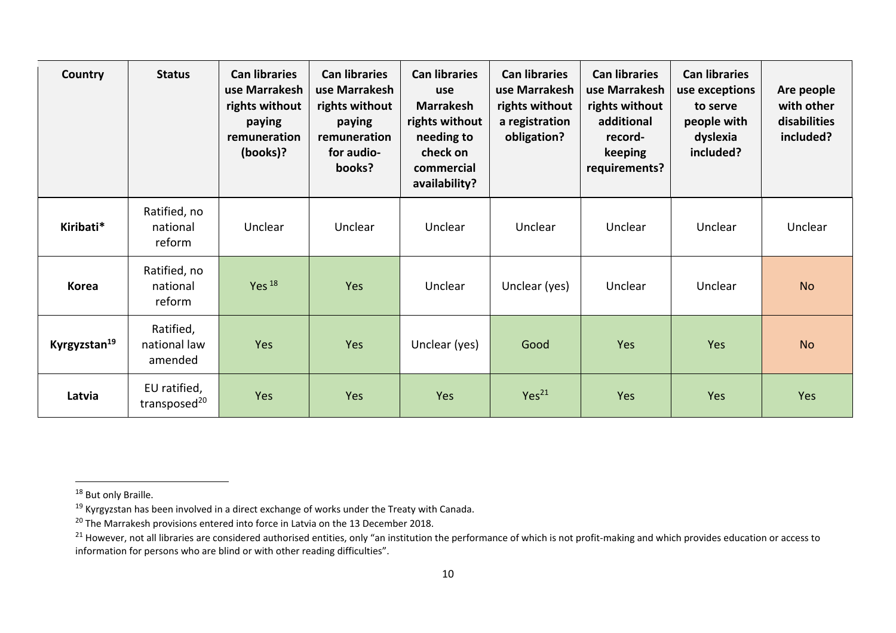| Country                  | <b>Status</b>                            | <b>Can libraries</b><br>use Marrakesh<br>rights without<br>paying<br>remuneration<br>(books)? | <b>Can libraries</b><br>use Marrakesh<br>rights without<br>paying<br>remuneration<br>for audio-<br>books? | <b>Can libraries</b><br>use<br><b>Marrakesh</b><br>rights without<br>needing to<br>check on<br>commercial<br>availability? | <b>Can libraries</b><br>use Marrakesh<br>rights without<br>a registration<br>obligation? | <b>Can libraries</b><br>use Marrakesh<br>rights without<br>additional<br>record-<br>keeping<br>requirements? | <b>Can libraries</b><br>use exceptions<br>to serve<br>people with<br>dyslexia<br>included? | Are people<br>with other<br>disabilities<br>included? |
|--------------------------|------------------------------------------|-----------------------------------------------------------------------------------------------|-----------------------------------------------------------------------------------------------------------|----------------------------------------------------------------------------------------------------------------------------|------------------------------------------------------------------------------------------|--------------------------------------------------------------------------------------------------------------|--------------------------------------------------------------------------------------------|-------------------------------------------------------|
| Kiribati*                | Ratified, no<br>national<br>reform       | Unclear                                                                                       | Unclear                                                                                                   | Unclear                                                                                                                    | Unclear                                                                                  | Unclear                                                                                                      | Unclear                                                                                    | Unclear                                               |
| <b>Korea</b>             | Ratified, no<br>national<br>reform       | Yes $^{18}$                                                                                   | Yes                                                                                                       | Unclear                                                                                                                    | Unclear (yes)                                                                            | Unclear                                                                                                      | Unclear                                                                                    | <b>No</b>                                             |
| Kyrgyzstan <sup>19</sup> | Ratified,<br>national law<br>amended     | Yes                                                                                           | Yes                                                                                                       | Unclear (yes)                                                                                                              | Good                                                                                     | Yes                                                                                                          | Yes                                                                                        | <b>No</b>                                             |
| Latvia                   | EU ratified,<br>transposed <sup>20</sup> | Yes                                                                                           | Yes                                                                                                       | Yes                                                                                                                        | Yes <sup>21</sup>                                                                        | Yes                                                                                                          | <b>Yes</b>                                                                                 | Yes                                                   |

<sup>&</sup>lt;sup>18</sup> But only Braille.

<sup>&</sup>lt;sup>19</sup> Kyrgyzstan has been involved in a direct exchange of works under the Treaty with Canada.

 $^{20}$  The Marrakesh provisions entered into force in Latvia on the 13 December 2018.

<sup>&</sup>lt;sup>21</sup> However, not all libraries are considered authorised entities, only "an institution the performance of which is not profit-making and which provides education or access to information for persons who are blind or with other reading difficulties".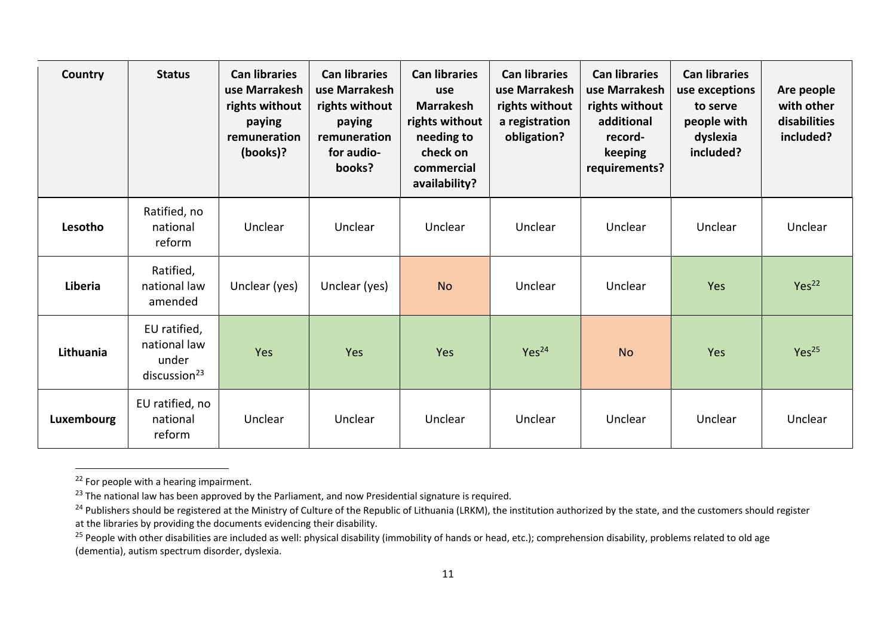| Country    | <b>Status</b>                                                     | <b>Can libraries</b><br>use Marrakesh<br>rights without<br>paying<br>remuneration<br>(books)? | <b>Can libraries</b><br>use Marrakesh<br>rights without<br>paying<br>remuneration<br>for audio-<br>books? | <b>Can libraries</b><br>use<br><b>Marrakesh</b><br>rights without<br>needing to<br>check on<br>commercial<br>availability? | <b>Can libraries</b><br>use Marrakesh<br>rights without<br>a registration<br>obligation? | <b>Can libraries</b><br>use Marrakesh<br>rights without<br>additional<br>record-<br>keeping<br>requirements? | <b>Can libraries</b><br>use exceptions<br>to serve<br>people with<br>dyslexia<br>included? | Are people<br>with other<br>disabilities<br>included? |
|------------|-------------------------------------------------------------------|-----------------------------------------------------------------------------------------------|-----------------------------------------------------------------------------------------------------------|----------------------------------------------------------------------------------------------------------------------------|------------------------------------------------------------------------------------------|--------------------------------------------------------------------------------------------------------------|--------------------------------------------------------------------------------------------|-------------------------------------------------------|
| Lesotho    | Ratified, no<br>national<br>reform                                | Unclear                                                                                       | Unclear                                                                                                   | Unclear                                                                                                                    | Unclear                                                                                  | Unclear                                                                                                      | Unclear                                                                                    | Unclear                                               |
| Liberia    | Ratified,<br>national law<br>amended                              | Unclear (yes)                                                                                 | Unclear (yes)                                                                                             | <b>No</b>                                                                                                                  | Unclear                                                                                  | Unclear                                                                                                      | Yes                                                                                        | Yes <sup>22</sup>                                     |
| Lithuania  | EU ratified,<br>national law<br>under<br>disclusion <sup>23</sup> | Yes                                                                                           | Yes                                                                                                       | Yes                                                                                                                        | Yes <sup>24</sup>                                                                        | <b>No</b>                                                                                                    | Yes                                                                                        | Yes <sup>25</sup>                                     |
| Luxembourg | EU ratified, no<br>national<br>reform                             | Unclear                                                                                       | Unclear                                                                                                   | Unclear                                                                                                                    | Unclear                                                                                  | Unclear                                                                                                      | Unclear                                                                                    | Unclear                                               |

 $22$  For people with a hearing impairment.

<sup>&</sup>lt;sup>23</sup> The national law has been approved by the Parliament, and now Presidential signature is required.

<sup>&</sup>lt;sup>24</sup> Publishers should be registered at the Ministry of Culture of the Republic of Lithuania (LRKM), the institution authorized by the state, and the customers should register at the libraries by providing the documents evidencing their disability.

<sup>&</sup>lt;sup>25</sup> People with other disabilities are included as well: physical disability (immobility of hands or head, etc.); comprehension disability, problems related to old age (dementia), autism spectrum disorder, dyslexia.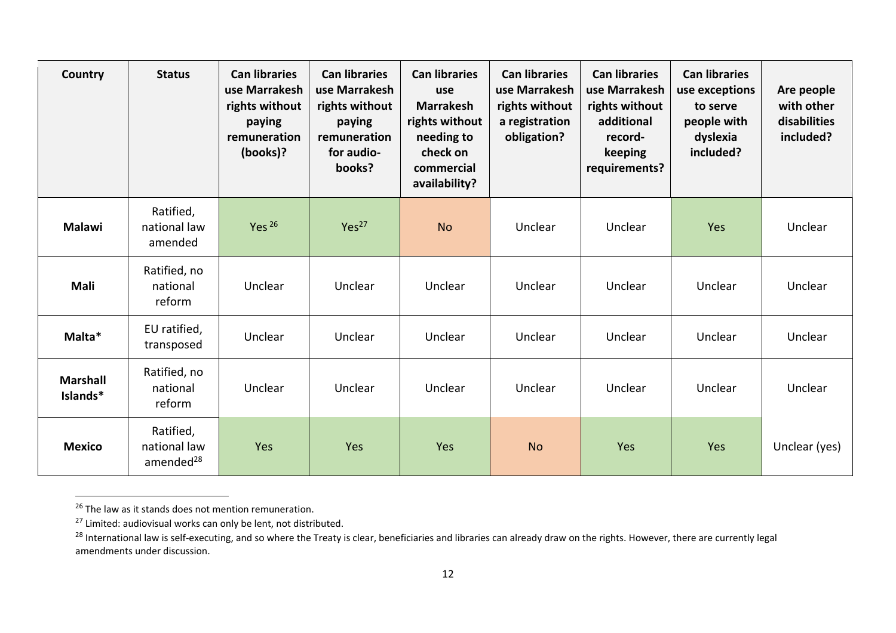| Country                     | <b>Status</b>                                      | <b>Can libraries</b><br>use Marrakesh<br>rights without<br>paying<br>remuneration<br>(books)? | <b>Can libraries</b><br>use Marrakesh<br>rights without<br>paying<br>remuneration<br>for audio-<br>books? | <b>Can libraries</b><br>use<br><b>Marrakesh</b><br>rights without<br>needing to<br>check on<br>commercial<br>availability? | <b>Can libraries</b><br>use Marrakesh<br>rights without<br>a registration<br>obligation? | <b>Can libraries</b><br>use Marrakesh<br>rights without<br>additional<br>record-<br>keeping<br>requirements? | <b>Can libraries</b><br>use exceptions<br>to serve<br>people with<br>dyslexia<br>included? | Are people<br>with other<br>disabilities<br>included? |
|-----------------------------|----------------------------------------------------|-----------------------------------------------------------------------------------------------|-----------------------------------------------------------------------------------------------------------|----------------------------------------------------------------------------------------------------------------------------|------------------------------------------------------------------------------------------|--------------------------------------------------------------------------------------------------------------|--------------------------------------------------------------------------------------------|-------------------------------------------------------|
| Malawi                      | Ratified,<br>national law<br>amended               | Yes $26$                                                                                      | Yes <sup>27</sup>                                                                                         | <b>No</b>                                                                                                                  | Unclear                                                                                  | Unclear                                                                                                      | Yes                                                                                        | Unclear                                               |
| Mali                        | Ratified, no<br>national<br>reform                 | Unclear                                                                                       | Unclear                                                                                                   | Unclear                                                                                                                    | Unclear                                                                                  | Unclear                                                                                                      | Unclear                                                                                    | Unclear                                               |
| Malta*                      | EU ratified,<br>transposed                         | Unclear                                                                                       | Unclear                                                                                                   | Unclear                                                                                                                    | Unclear                                                                                  | Unclear                                                                                                      | Unclear                                                                                    | Unclear                                               |
| <b>Marshall</b><br>Islands* | Ratified, no<br>national<br>reform                 | Unclear                                                                                       | Unclear                                                                                                   | Unclear                                                                                                                    | Unclear                                                                                  | Unclear                                                                                                      | Unclear                                                                                    | Unclear                                               |
| <b>Mexico</b>               | Ratified,<br>national law<br>amended <sup>28</sup> | Yes                                                                                           | Yes                                                                                                       | Yes                                                                                                                        | <b>No</b>                                                                                | Yes                                                                                                          | Yes                                                                                        | Unclear (yes)                                         |

<sup>&</sup>lt;sup>26</sup> The law as it stands does not mention remuneration.

 $^{27}$  Limited: audiovisual works can only be lent, not distributed.

<sup>&</sup>lt;sup>28</sup> International law is self-executing, and so where the Treaty is clear, beneficiaries and libraries can already draw on the rights. However, there are currently legal amendments under discussion.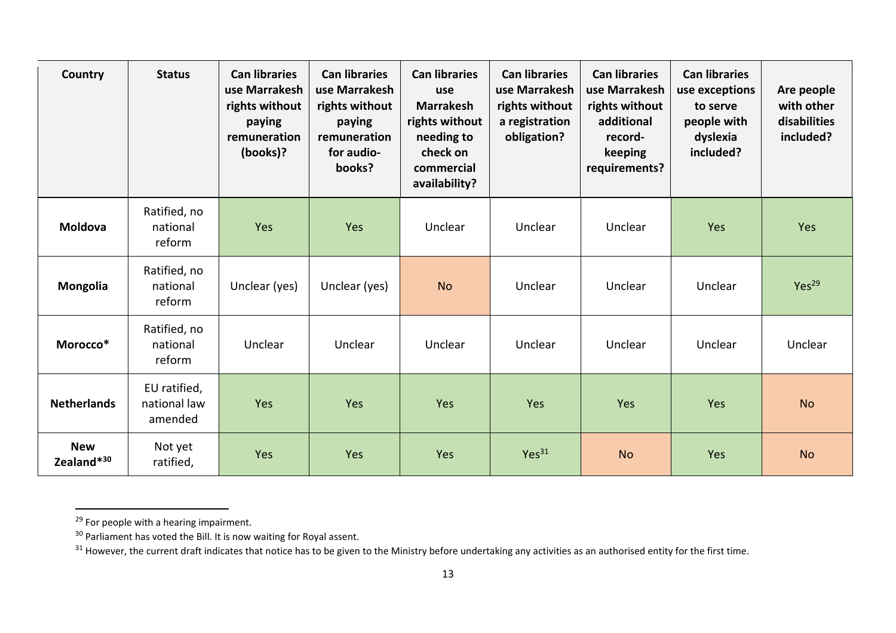| Country                              | <b>Status</b>                           | <b>Can libraries</b><br>use Marrakesh<br>rights without<br>paying<br>remuneration<br>(books)? | <b>Can libraries</b><br>use Marrakesh<br>rights without<br>paying<br>remuneration<br>for audio-<br>books? | <b>Can libraries</b><br>use<br><b>Marrakesh</b><br>rights without<br>needing to<br>check on<br>commercial<br>availability? | <b>Can libraries</b><br>use Marrakesh<br>rights without<br>a registration<br>obligation? | <b>Can libraries</b><br>use Marrakesh<br>rights without<br>additional<br>record-<br>keeping<br>requirements? | <b>Can libraries</b><br>use exceptions<br>to serve<br>people with<br>dyslexia<br>included? | Are people<br>with other<br>disabilities<br>included? |
|--------------------------------------|-----------------------------------------|-----------------------------------------------------------------------------------------------|-----------------------------------------------------------------------------------------------------------|----------------------------------------------------------------------------------------------------------------------------|------------------------------------------------------------------------------------------|--------------------------------------------------------------------------------------------------------------|--------------------------------------------------------------------------------------------|-------------------------------------------------------|
| Moldova                              | Ratified, no<br>national<br>reform      | Yes                                                                                           | Yes                                                                                                       | Unclear                                                                                                                    | Unclear                                                                                  | Unclear                                                                                                      | Yes                                                                                        | Yes                                                   |
| Mongolia                             | Ratified, no<br>national<br>reform      | Unclear (yes)                                                                                 | Unclear (yes)                                                                                             | <b>No</b>                                                                                                                  | Unclear                                                                                  | Unclear                                                                                                      | Unclear                                                                                    | Yes <sup>29</sup>                                     |
| Morocco*                             | Ratified, no<br>national<br>reform      | Unclear                                                                                       | Unclear                                                                                                   | Unclear                                                                                                                    | Unclear                                                                                  | Unclear                                                                                                      | Unclear                                                                                    | Unclear                                               |
| <b>Netherlands</b>                   | EU ratified,<br>national law<br>amended | Yes                                                                                           | Yes                                                                                                       | Yes                                                                                                                        | Yes                                                                                      | Yes                                                                                                          | Yes                                                                                        | <b>No</b>                                             |
| <b>New</b><br>Zealand* <sup>30</sup> | Not yet<br>ratified,                    | Yes                                                                                           | Yes                                                                                                       | Yes                                                                                                                        | Yes <sup>31</sup>                                                                        | <b>No</b>                                                                                                    | Yes                                                                                        | <b>No</b>                                             |

<sup>&</sup>lt;sup>29</sup> For people with a hearing impairment.

 $30$  Parliament has voted the Bill. It is now waiting for Royal assent.

 $31$  However, the current draft indicates that notice has to be given to the Ministry before undertaking any activities as an authorised entity for the first time.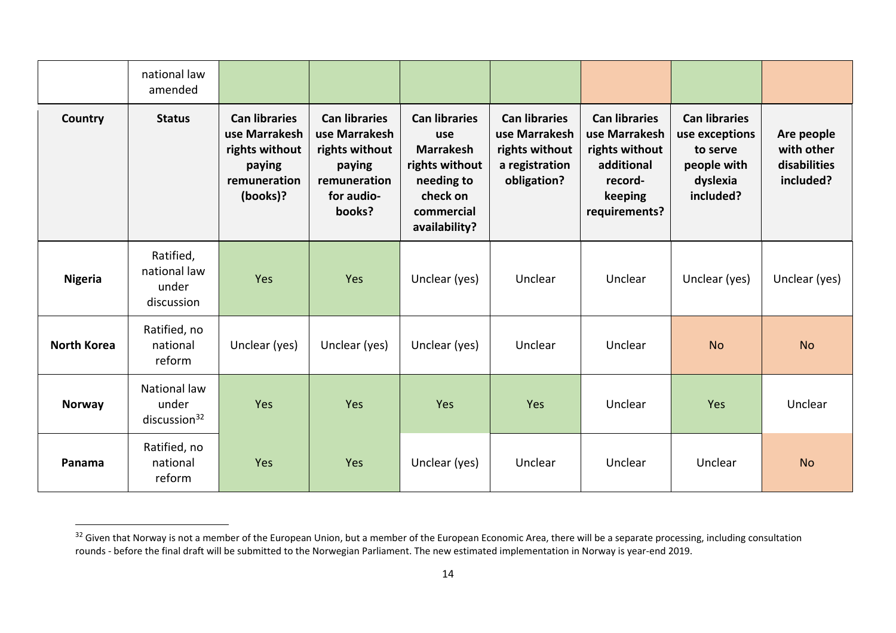|                    | national law<br>amended                           |                                                                                               |                                                                                                           |                                                                                                                            |                                                                                          |                                                                                                              |                                                                                            |                                                       |
|--------------------|---------------------------------------------------|-----------------------------------------------------------------------------------------------|-----------------------------------------------------------------------------------------------------------|----------------------------------------------------------------------------------------------------------------------------|------------------------------------------------------------------------------------------|--------------------------------------------------------------------------------------------------------------|--------------------------------------------------------------------------------------------|-------------------------------------------------------|
| Country            | <b>Status</b>                                     | <b>Can libraries</b><br>use Marrakesh<br>rights without<br>paying<br>remuneration<br>(books)? | <b>Can libraries</b><br>use Marrakesh<br>rights without<br>paying<br>remuneration<br>for audio-<br>books? | <b>Can libraries</b><br>use<br><b>Marrakesh</b><br>rights without<br>needing to<br>check on<br>commercial<br>availability? | <b>Can libraries</b><br>use Marrakesh<br>rights without<br>a registration<br>obligation? | <b>Can libraries</b><br>use Marrakesh<br>rights without<br>additional<br>record-<br>keeping<br>requirements? | <b>Can libraries</b><br>use exceptions<br>to serve<br>people with<br>dyslexia<br>included? | Are people<br>with other<br>disabilities<br>included? |
| <b>Nigeria</b>     | Ratified,<br>national law<br>under<br>discussion  | Yes                                                                                           | Yes                                                                                                       | Unclear (yes)                                                                                                              | Unclear                                                                                  | Unclear                                                                                                      | Unclear (yes)                                                                              | Unclear (yes)                                         |
| <b>North Korea</b> | Ratified, no<br>national<br>reform                | Unclear (yes)                                                                                 | Unclear (yes)                                                                                             | Unclear (yes)                                                                                                              | Unclear                                                                                  | Unclear                                                                                                      | <b>No</b>                                                                                  | <b>No</b>                                             |
| Norway             | National law<br>under<br>disclusion <sup>32</sup> | Yes                                                                                           | Yes                                                                                                       | Yes                                                                                                                        | Yes                                                                                      | Unclear                                                                                                      | Yes                                                                                        | Unclear                                               |
| Panama             | Ratified, no<br>national<br>reform                | Yes                                                                                           | Yes                                                                                                       | Unclear (yes)                                                                                                              | Unclear                                                                                  | Unclear                                                                                                      | Unclear                                                                                    | <b>No</b>                                             |

<sup>&</sup>lt;sup>32</sup> Given that Norway is not a member of the European Union, but a member of the European Economic Area, there will be a separate processing, including consultation rounds - before the final draft will be submitted to the Norwegian Parliament. The new estimated implementation in Norway is year-end 2019.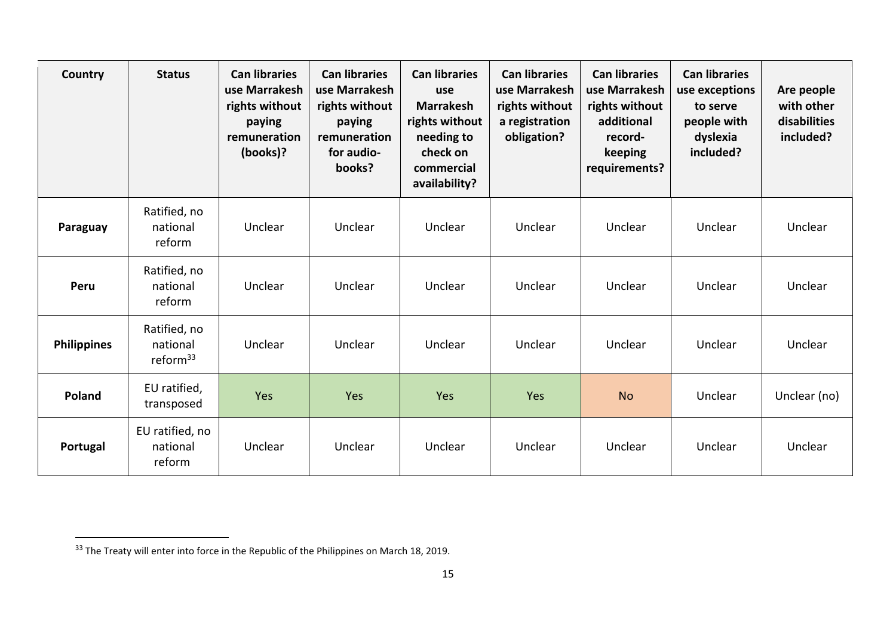| Country            | <b>Status</b>                                    | <b>Can libraries</b><br>use Marrakesh<br>rights without<br>paying<br>remuneration<br>(books)? | <b>Can libraries</b><br>use Marrakesh<br>rights without<br>paying<br>remuneration<br>for audio-<br>books? | <b>Can libraries</b><br>use<br><b>Marrakesh</b><br>rights without<br>needing to<br>check on<br>commercial<br>availability? | <b>Can libraries</b><br>use Marrakesh<br>rights without<br>a registration<br>obligation? | <b>Can libraries</b><br>use Marrakesh<br>rights without<br>additional<br>record-<br>keeping<br>requirements? | <b>Can libraries</b><br>use exceptions<br>to serve<br>people with<br>dyslexia<br>included? | Are people<br>with other<br>disabilities<br>included? |
|--------------------|--------------------------------------------------|-----------------------------------------------------------------------------------------------|-----------------------------------------------------------------------------------------------------------|----------------------------------------------------------------------------------------------------------------------------|------------------------------------------------------------------------------------------|--------------------------------------------------------------------------------------------------------------|--------------------------------------------------------------------------------------------|-------------------------------------------------------|
| Paraguay           | Ratified, no<br>national<br>reform               | Unclear                                                                                       | Unclear                                                                                                   | Unclear                                                                                                                    | Unclear                                                                                  | Unclear                                                                                                      | Unclear                                                                                    | Unclear                                               |
| Peru               | Ratified, no<br>national<br>reform               | Unclear                                                                                       | Unclear                                                                                                   | Unclear                                                                                                                    | Unclear                                                                                  | Unclear                                                                                                      | Unclear                                                                                    | Unclear                                               |
| <b>Philippines</b> | Ratified, no<br>national<br>reform <sup>33</sup> | Unclear                                                                                       | Unclear                                                                                                   | Unclear                                                                                                                    | Unclear                                                                                  | Unclear                                                                                                      | Unclear                                                                                    | Unclear                                               |
| Poland             | EU ratified,<br>transposed                       | Yes                                                                                           | Yes                                                                                                       | Yes                                                                                                                        | Yes                                                                                      | <b>No</b>                                                                                                    | Unclear                                                                                    | Unclear (no)                                          |
| Portugal           | EU ratified, no<br>national<br>reform            | Unclear                                                                                       | Unclear                                                                                                   | Unclear                                                                                                                    | Unclear                                                                                  | Unclear                                                                                                      | Unclear                                                                                    | Unclear                                               |

<sup>&</sup>lt;sup>33</sup> The Treaty will enter into force in the Republic of the Philippines on March 18, 2019.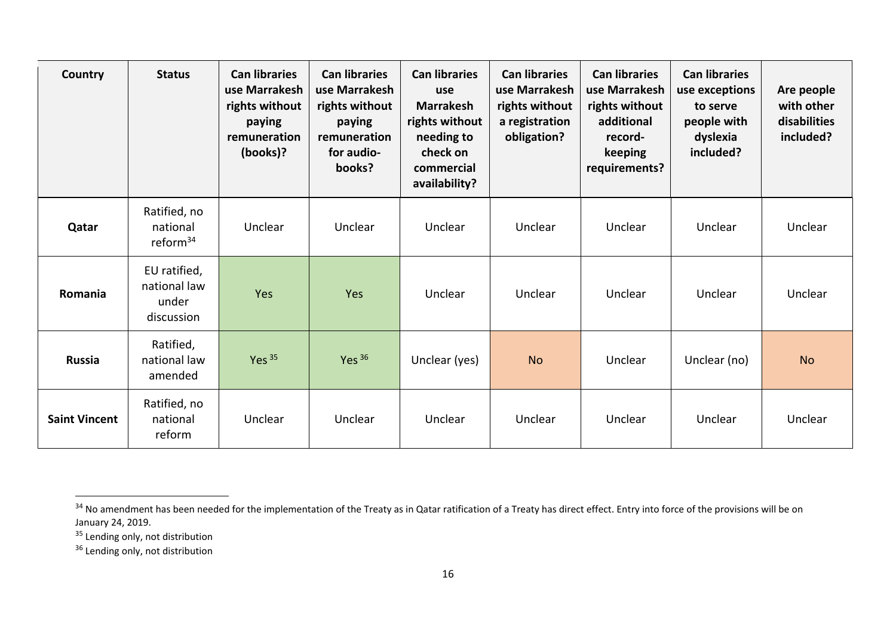| Country              | <b>Status</b>                                       | <b>Can libraries</b><br>use Marrakesh<br>rights without<br>paying<br>remuneration<br>(books)? | <b>Can libraries</b><br>use Marrakesh<br>rights without<br>paying<br>remuneration<br>for audio-<br>books? | <b>Can libraries</b><br>use<br><b>Marrakesh</b><br>rights without<br>needing to<br>check on<br>commercial<br>availability? | <b>Can libraries</b><br>use Marrakesh<br>rights without<br>a registration<br>obligation? | <b>Can libraries</b><br>use Marrakesh<br>rights without<br>additional<br>record-<br>keeping<br>requirements? | <b>Can libraries</b><br>use exceptions<br>to serve<br>people with<br>dyslexia<br>included? | Are people<br>with other<br>disabilities<br>included? |
|----------------------|-----------------------------------------------------|-----------------------------------------------------------------------------------------------|-----------------------------------------------------------------------------------------------------------|----------------------------------------------------------------------------------------------------------------------------|------------------------------------------------------------------------------------------|--------------------------------------------------------------------------------------------------------------|--------------------------------------------------------------------------------------------|-------------------------------------------------------|
| Qatar                | Ratified, no<br>national<br>reform $34$             | Unclear                                                                                       | Unclear                                                                                                   | Unclear                                                                                                                    | Unclear                                                                                  | Unclear                                                                                                      | Unclear                                                                                    | Unclear                                               |
| Romania              | EU ratified,<br>national law<br>under<br>discussion | Yes                                                                                           | Yes                                                                                                       | Unclear                                                                                                                    | Unclear                                                                                  | Unclear                                                                                                      | Unclear                                                                                    | Unclear                                               |
| <b>Russia</b>        | Ratified,<br>national law<br>amended                | Yes $35$                                                                                      | Yes $36$                                                                                                  | Unclear (yes)                                                                                                              | <b>No</b>                                                                                | Unclear                                                                                                      | Unclear (no)                                                                               | <b>No</b>                                             |
| <b>Saint Vincent</b> | Ratified, no<br>national<br>reform                  | Unclear                                                                                       | Unclear                                                                                                   | Unclear                                                                                                                    | Unclear                                                                                  | Unclear                                                                                                      | Unclear                                                                                    | Unclear                                               |

<sup>35</sup> Lending only, not distribution

<sup>36</sup> Lending only, not distribution

<sup>&</sup>lt;sup>34</sup> No amendment has been needed for the implementation of the Treaty as in Qatar ratification of a Treaty has direct effect. Entry into force of the provisions will be on January 24, 2019.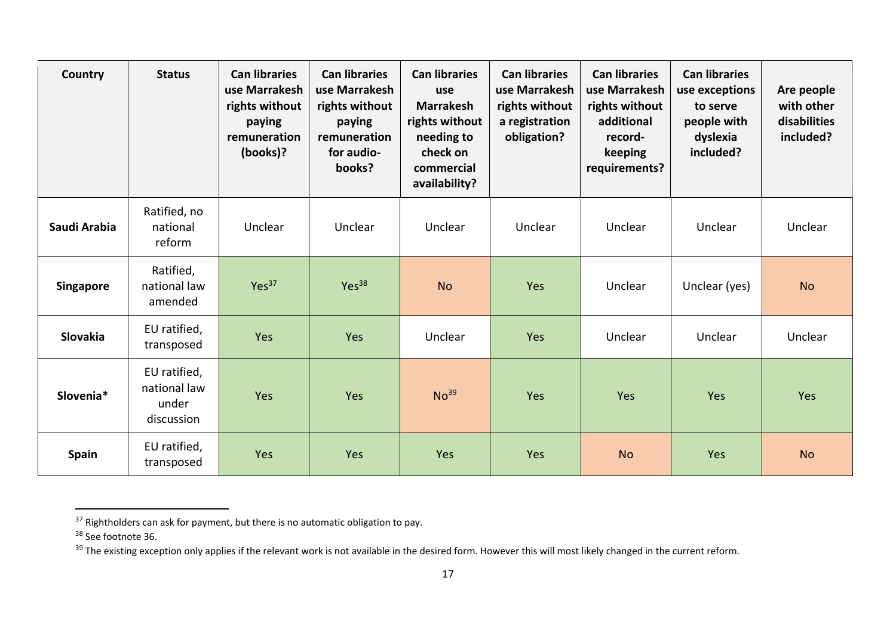| Country          | <b>Status</b>                                       | <b>Can libraries</b><br>use Marrakesh<br>rights without<br>paying<br>remuneration<br>(books)? | <b>Can libraries</b><br>use Marrakesh<br>rights without<br>paying<br>remuneration<br>for audio-<br>books? | <b>Can libraries</b><br>use<br><b>Marrakesh</b><br>rights without<br>needing to<br>check on<br>commercial<br>availability? | <b>Can libraries</b><br>use Marrakesh<br>rights without<br>a registration<br>obligation? | <b>Can libraries</b><br>use Marrakesh<br>rights without<br>additional<br>record-<br>keeping<br>requirements? | <b>Can libraries</b><br>use exceptions<br>to serve<br>people with<br>dyslexia<br>included? | Are people<br>with other<br>disabilities<br>included? |
|------------------|-----------------------------------------------------|-----------------------------------------------------------------------------------------------|-----------------------------------------------------------------------------------------------------------|----------------------------------------------------------------------------------------------------------------------------|------------------------------------------------------------------------------------------|--------------------------------------------------------------------------------------------------------------|--------------------------------------------------------------------------------------------|-------------------------------------------------------|
| Saudi Arabia     | Ratified, no<br>national<br>reform                  | Unclear                                                                                       | Unclear                                                                                                   | Unclear                                                                                                                    | Unclear                                                                                  | Unclear                                                                                                      | Unclear                                                                                    | Unclear                                               |
| <b>Singapore</b> | Ratified,<br>national law<br>amended                | Yes <sup>37</sup>                                                                             | Yes <sup>38</sup>                                                                                         | <b>No</b>                                                                                                                  | Yes                                                                                      | Unclear                                                                                                      | Unclear (yes)                                                                              | <b>No</b>                                             |
| <b>Slovakia</b>  | EU ratified,<br>transposed                          | Yes                                                                                           | Yes                                                                                                       | Unclear                                                                                                                    | Yes                                                                                      | Unclear                                                                                                      | Unclear                                                                                    | Unclear                                               |
| Slovenia*        | EU ratified,<br>national law<br>under<br>discussion | Yes                                                                                           | Yes                                                                                                       | No <sup>39</sup>                                                                                                           | Yes                                                                                      | Yes                                                                                                          | Yes                                                                                        | Yes                                                   |
| <b>Spain</b>     | EU ratified,<br>transposed                          | Yes                                                                                           | Yes                                                                                                       | Yes                                                                                                                        | Yes                                                                                      | <b>No</b>                                                                                                    | Yes                                                                                        | <b>No</b>                                             |

 $37$  Rightholders can ask for payment, but there is no automatic obligation to pay.

<sup>&</sup>lt;sup>38</sup> See footnote 36.

<sup>39</sup> The existing exception only applies if the relevant work is not available in the desired form. However this will most likely changed in the current reform.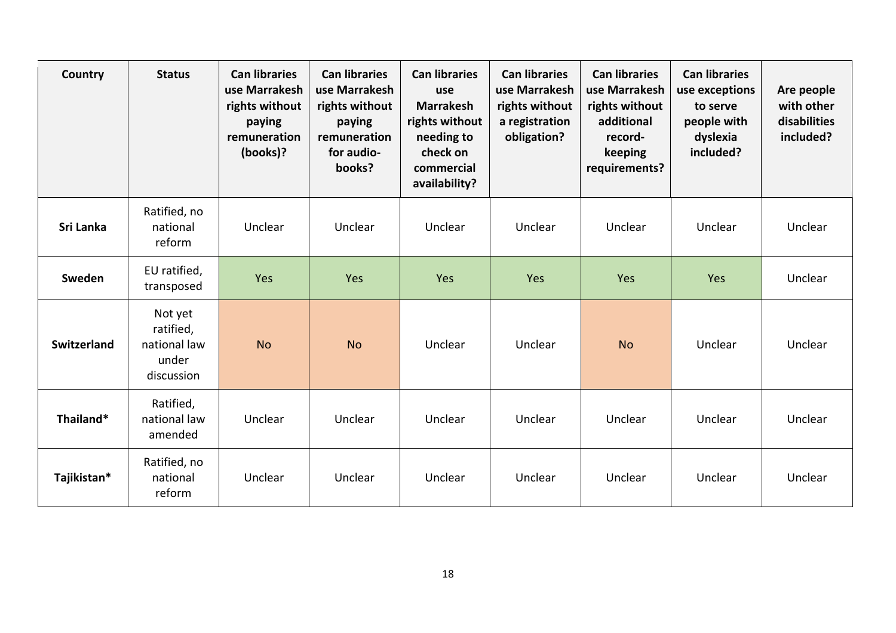| Country            | <b>Status</b>                                               | <b>Can libraries</b><br>use Marrakesh<br>rights without<br>paying<br>remuneration<br>(books)? | <b>Can libraries</b><br>use Marrakesh<br>rights without<br>paying<br>remuneration<br>for audio-<br>books? | <b>Can libraries</b><br>use<br><b>Marrakesh</b><br>rights without<br>needing to<br>check on<br>commercial<br>availability? | <b>Can libraries</b><br>use Marrakesh<br>rights without<br>a registration<br>obligation? | <b>Can libraries</b><br>use Marrakesh<br>rights without<br>additional<br>record-<br>keeping<br>requirements? | <b>Can libraries</b><br>use exceptions<br>to serve<br>people with<br>dyslexia<br>included? | Are people<br>with other<br>disabilities<br>included? |
|--------------------|-------------------------------------------------------------|-----------------------------------------------------------------------------------------------|-----------------------------------------------------------------------------------------------------------|----------------------------------------------------------------------------------------------------------------------------|------------------------------------------------------------------------------------------|--------------------------------------------------------------------------------------------------------------|--------------------------------------------------------------------------------------------|-------------------------------------------------------|
| Sri Lanka          | Ratified, no<br>national<br>reform                          | Unclear                                                                                       | Unclear                                                                                                   | Unclear                                                                                                                    | Unclear                                                                                  | Unclear                                                                                                      | Unclear                                                                                    | Unclear                                               |
| Sweden             | EU ratified,<br>transposed                                  | Yes                                                                                           | Yes                                                                                                       | Yes                                                                                                                        | Yes                                                                                      | Yes                                                                                                          | Yes                                                                                        | Unclear                                               |
| <b>Switzerland</b> | Not yet<br>ratified,<br>national law<br>under<br>discussion | <b>No</b>                                                                                     | <b>No</b>                                                                                                 | Unclear                                                                                                                    | Unclear                                                                                  | <b>No</b>                                                                                                    | Unclear                                                                                    | Unclear                                               |
| Thailand*          | Ratified,<br>national law<br>amended                        | Unclear                                                                                       | Unclear                                                                                                   | Unclear                                                                                                                    | Unclear                                                                                  | Unclear                                                                                                      | Unclear                                                                                    | Unclear                                               |
| Tajikistan*        | Ratified, no<br>national<br>reform                          | Unclear                                                                                       | Unclear                                                                                                   | Unclear                                                                                                                    | Unclear                                                                                  | Unclear                                                                                                      | Unclear                                                                                    | Unclear                                               |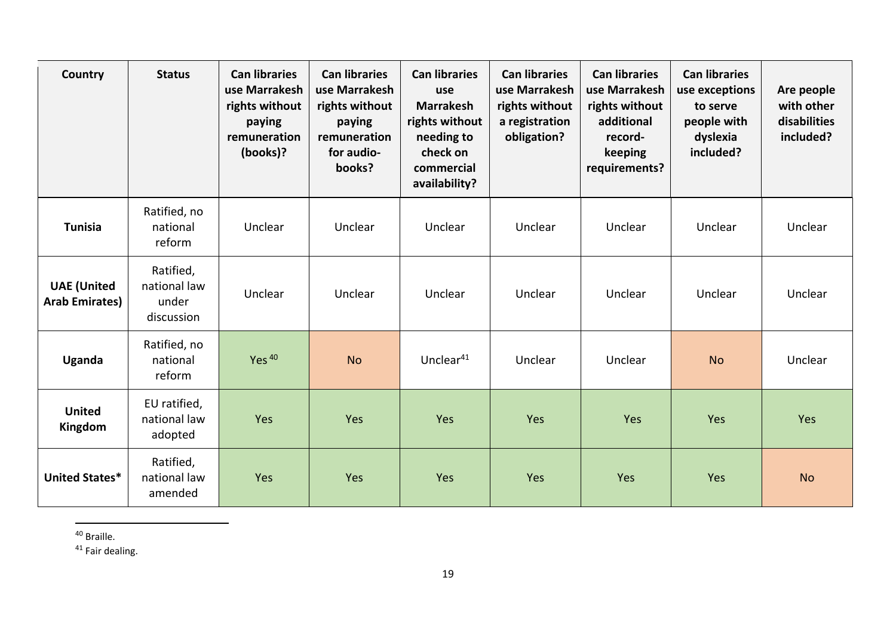| Country                                     | <b>Status</b>                                    | <b>Can libraries</b><br>use Marrakesh<br>rights without<br>paying<br>remuneration<br>(books)? | <b>Can libraries</b><br>use Marrakesh<br>rights without<br>paying<br>remuneration<br>for audio-<br>books? | <b>Can libraries</b><br>use<br><b>Marrakesh</b><br>rights without<br>needing to<br>check on<br>commercial<br>availability? | <b>Can libraries</b><br>use Marrakesh<br>rights without<br>a registration<br>obligation? | <b>Can libraries</b><br>use Marrakesh<br>rights without<br>additional<br>record-<br>keeping<br>requirements? | <b>Can libraries</b><br>use exceptions<br>to serve<br>people with<br>dyslexia<br>included? | Are people<br>with other<br>disabilities<br>included? |
|---------------------------------------------|--------------------------------------------------|-----------------------------------------------------------------------------------------------|-----------------------------------------------------------------------------------------------------------|----------------------------------------------------------------------------------------------------------------------------|------------------------------------------------------------------------------------------|--------------------------------------------------------------------------------------------------------------|--------------------------------------------------------------------------------------------|-------------------------------------------------------|
| <b>Tunisia</b>                              | Ratified, no<br>national<br>reform               | Unclear                                                                                       | Unclear                                                                                                   | Unclear                                                                                                                    | Unclear                                                                                  | Unclear                                                                                                      | Unclear                                                                                    | Unclear                                               |
| <b>UAE</b> (United<br><b>Arab Emirates)</b> | Ratified,<br>national law<br>under<br>discussion | Unclear                                                                                       | Unclear                                                                                                   | Unclear                                                                                                                    | Unclear                                                                                  | Unclear                                                                                                      | Unclear                                                                                    | Unclear                                               |
| Uganda                                      | Ratified, no<br>national<br>reform               | Yes <sup>40</sup>                                                                             | <b>No</b>                                                                                                 | Unclear <sup>41</sup>                                                                                                      | Unclear                                                                                  | Unclear                                                                                                      | <b>No</b>                                                                                  | Unclear                                               |
| <b>United</b><br>Kingdom                    | EU ratified,<br>national law<br>adopted          | Yes                                                                                           | Yes                                                                                                       | Yes                                                                                                                        | Yes                                                                                      | Yes                                                                                                          | Yes                                                                                        | Yes                                                   |
| United States*                              | Ratified,<br>national law<br>amended             | Yes                                                                                           | Yes                                                                                                       | Yes                                                                                                                        | Yes                                                                                      | Yes                                                                                                          | Yes                                                                                        | <b>No</b>                                             |

<sup>40</sup> Braille.

 $41$  Fair dealing.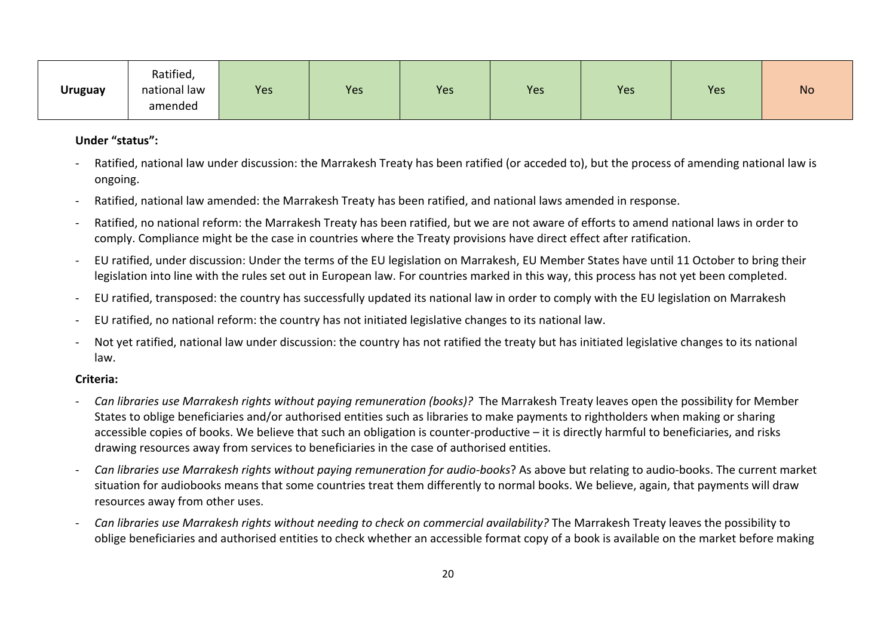| <b>Uruguay</b> | Ratified,<br>national law<br>amended | Yes | Yes | Yes | Yes | Yes | Yes | <b>No</b> |
|----------------|--------------------------------------|-----|-----|-----|-----|-----|-----|-----------|
|----------------|--------------------------------------|-----|-----|-----|-----|-----|-----|-----------|

## **Under "status":**

- Ratified, national law under discussion: the Marrakesh Treaty has been ratified (or acceded to), but the process of amending national law is ongoing.
- Ratified, national law amended: the Marrakesh Treaty has been ratified, and national laws amended in response.
- Ratified, no national reform: the Marrakesh Treaty has been ratified, but we are not aware of efforts to amend national laws in order to comply. Compliance might be the case in countries where the Treaty provisions have direct effect after ratification.
- EU ratified, under discussion: Under the terms of the EU legislation on Marrakesh, EU Member States have until 11 October to bring their legislation into line with the rules set out in European law. For countries marked in this way, this process has not yet been completed.
- EU ratified, transposed: the country has successfully updated its national law in order to comply with the EU legislation on Marrakesh
- EU ratified, no national reform: the country has not initiated legislative changes to its national law.
- Not yet ratified, national law under discussion: the country has not ratified the treaty but has initiated legislative changes to its national law.

## **Criteria:**

- *Can libraries use Marrakesh rights without paying remuneration (books)?* The Marrakesh Treaty leaves open the possibility for Member States to oblige beneficiaries and/or authorised entities such as libraries to make payments to rightholders when making or sharing accessible copies of books. We believe that such an obligation is counter-productive – it is directly harmful to beneficiaries, and risks drawing resources away from services to beneficiaries in the case of authorised entities.
- *Can libraries use Marrakesh rights without paying remuneration for audio-books*? As above but relating to audio-books. The current market situation for audiobooks means that some countries treat them differently to normal books. We believe, again, that payments will draw resources away from other uses.
- *Can libraries use Marrakesh rights without needing to check on commercial availability?* The Marrakesh Treaty leaves the possibility to oblige beneficiaries and authorised entities to check whether an accessible format copy of a book is available on the market before making